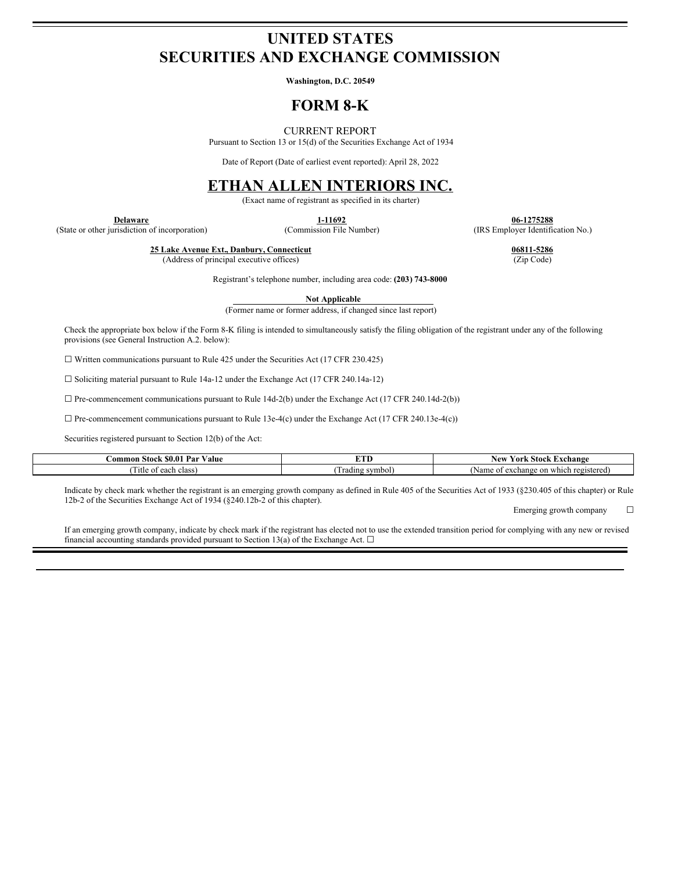# **UNITED STATES SECURITIES AND EXCHANGE COMMISSION**

**Washington, D.C. 20549**

# **FORM 8-K**

# CURRENT REPORT

Pursuant to Section 13 or 15(d) of the Securities Exchange Act of 1934

Date of Report (Date of earliest event reported): April 28, 2022

# **ETHAN ALLEN INTERIORS INC.**

(Exact name of registrant as specified in its charter)

**Delaware 1-11692 06-1275288** (State or other jurisdiction of incorporation) (Commission File Number) (IRS Employer Identification No.)

**25 Lake Avenue Ext., Danbury, Connecticut 06811-5286**

(Address of principal executive offices) (Zip Code)

Registrant's telephone number, including area code: **(203) 743-8000**

**Not Applicable**

(Former name or former address, if changed since last report)

Check the appropriate box below if the Form 8-K filing is intended to simultaneously satisfy the filing obligation of the registrant under any of the following provisions (see General Instruction A.2. below):

 $\Box$  Written communications pursuant to Rule 425 under the Securities Act (17 CFR 230.425)

☐ Soliciting material pursuant to Rule 14a-12 under the Exchange Act (17 CFR 240.14a-12)

☐ Pre-commencement communications pursuant to Rule 14d-2(b) under the Exchange Act (17 CFR 240.14d-2(b))

 $\Box$  Pre-commencement communications pursuant to Rule 13e-4(c) under the Exchange Act (17 CFR 240.13e-4(c))

Securities registered pursuant to Section 12(b) of the Act:

| \$0.01<br>Par<br>'alue<br>.ommon<br>-stock * | <b>ETD</b>                                                     | . Exchange<br>Stock<br>0rk/<br>New                                                        |
|----------------------------------------------|----------------------------------------------------------------|-------------------------------------------------------------------------------------------|
| each class<br>T <sub>itle</sub><br>ΩT        | symbol,<br>Trading<br>the contract of the contract of the<br>. | e on which registered<br><b>Name</b><br>exchange<br>ገ1<br>the contract of the contract of |

Indicate by check mark whether the registrant is an emerging growth company as defined in Rule 405 of the Securities Act of 1933 (§230.405 of this chapter) or Rule 12b-2 of the Securities Exchange Act of 1934 (§240.12b-2 of this chapter).

Emerging growth company  $\Box$ 

If an emerging growth company, indicate by check mark if the registrant has elected not to use the extended transition period for complying with any new or revised financial accounting standards provided pursuant to Section 13(a) of the Exchange Act.  $\Box$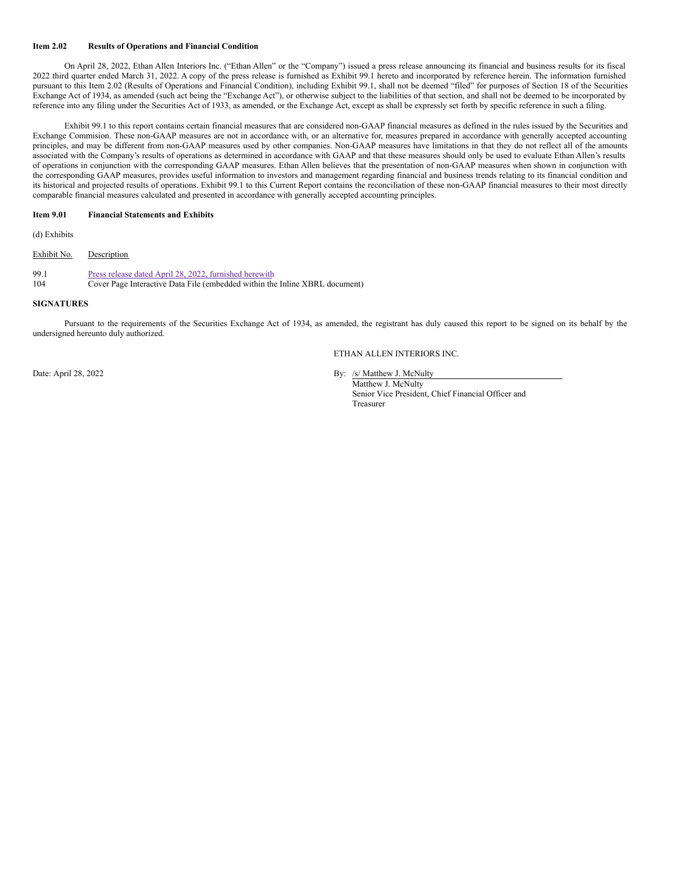#### **Item 2.02 Results of Operations and Financial Condition**

On April 28, 2022, Ethan Allen Interiors Inc. ("Ethan Allen" or the "Company") issued a press release announcing its financial and business results for its fiscal 2022 third quarter ended March 31, 2022. A copy of the press release is furnished as Exhibit 99.1 hereto and incorporated by reference herein. The information furnished pursuant to this Item 2.02 (Results of Operations and Financial Condition), including Exhibit 99.1, shall not be deemed "filed" for purposes of Section 18 of the Securities Exchange Act of 1934, as amended (such act being the "Exchange Act"), or otherwise subject to the liabilities of that section, and shall not be deemed to be incorporated by reference into any filing under the Securities Act of 1933, as amended, or the Exchange Act, except as shall be expressly set forth by specific reference in such a filing.

Exhibit 99.1 to this report contains certain financial measures that are considered non-GAAP financial measures as defined in the rules issued by the Securities and Exchange Commision. These non-GAAP measures are not in accordance with, or an alternative for, measures prepared in accordance with generally accepted accounting principles, and may be different from non-GAAP measures used by other companies. Non-GAAP measures have limitations in that they do not reflect all of the amounts associated with the Company's results of operations as determined in accordance with GAAP and that these measures should only be used to evaluate Ethan Allen's results of operations in conjunction with the corresponding GAAP measures. Ethan Allen believes that the presentation of non-GAAP measures when shown in conjunction with the corresponding GAAP measures, provides useful information to investors and management regarding financial and business trends relating to its financial condition and its historical and projected results of operations. Exhibit 99.1 to this Current Report contains the reconciliation of these non-GAAP financial measures to their most directly comparable financial measures calculated and presented in accordance with generally accepted accounting principles.

#### **Item 9.01 Financial Statements and Exhibits**

(d) Exhibits

- Exhibit No. Description
- 99.1 Press release dated April 28, 2022, [furnished](#page-6-0) herewith
- 104 Cover Page Interactive Data File (embedded within the Inline XBRL document)

#### **SIGNATURES**

Pursuant to the requirements of the Securities Exchange Act of 1934, as amended, the registrant has duly caused this report to be signed on its behalf by the undersigned hereunto duly authorized.

#### ETHAN ALLEN INTERIORS INC.

Date: April 28, 2022 By: /s/ Matthew J. McNulty

Matthew J. McNulty Senior Vice President, Chief Financial Officer and Treasurer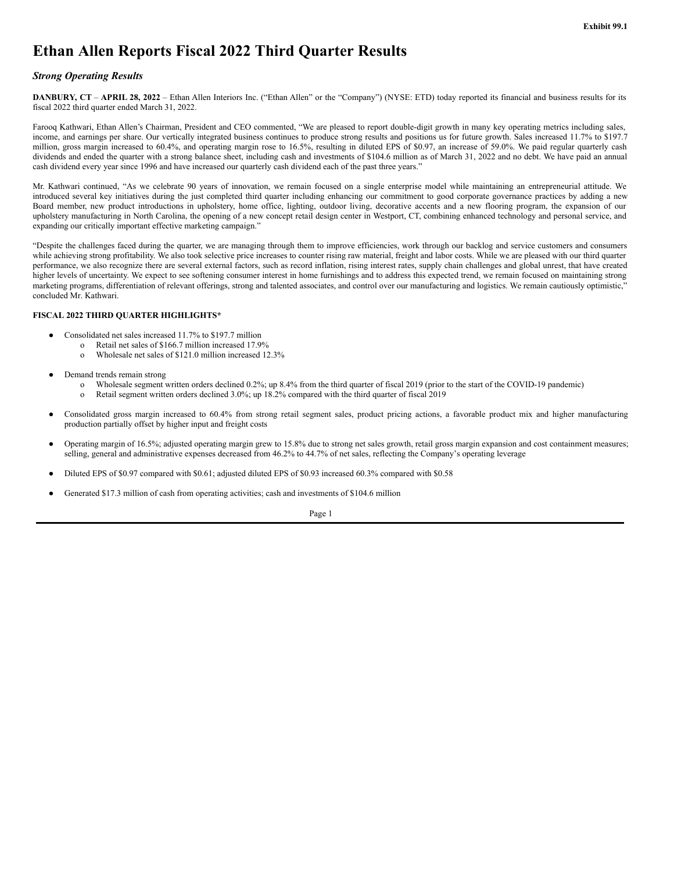# **Ethan Allen Reports Fiscal 2022 Third Quarter Results**

# *Strong Operating Results*

**DANBURY, CT** – **APRIL 28, 2022** – Ethan Allen Interiors Inc. ("Ethan Allen" or the "Company") (NYSE: ETD) today reported its financial and business results for its fiscal 2022 third quarter ended March 31, 2022.

Farooq Kathwari, Ethan Allen's Chairman, President and CEO commented, "We are pleased to report double-digit growth in many key operating metrics including sales, income, and earnings per share. Our vertically integrated business continues to produce strong results and positions us for future growth. Sales increased 11.7% to \$197.7 million, gross margin increased to 60.4%, and operating margin rose to 16.5%, resulting in diluted EPS of \$0.97, an increase of 59.0%. We paid regular quarterly cash dividends and ended the quarter with a strong balance sheet, including cash and investments of \$104.6 million as of March 31, 2022 and no debt. We have paid an annual cash dividend every year since 1996 and have increased our quarterly cash dividend each of the past three years."

Mr. Kathwari continued, "As we celebrate 90 years of innovation, we remain focused on a single enterprise model while maintaining an entrepreneurial attitude. We introduced several key initiatives during the just completed third quarter including enhancing our commitment to good corporate governance practices by adding a new Board member, new product introductions in upholstery, home office, lighting, outdoor living, decorative accents and a new flooring program, the expansion of our upholstery manufacturing in North Carolina, the opening of a new concept retail design center in Westport, CT, combining enhanced technology and personal service, and expanding our critically important effective marketing campaign."

"Despite the challenges faced during the quarter, we are managing through them to improve efficiencies, work through our backlog and service customers and consumers while achieving strong profitability. We also took selective price increases to counter rising raw material, freight and labor costs. While we are pleased with our third quarter performance, we also recognize there are several external factors, such as record inflation, rising interest rates, supply chain challenges and global unrest, that have created higher levels of uncertainty. We expect to see softening consumer interest in home furnishings and to address this expected trend, we remain focused on maintaining strong marketing programs, differentiation of relevant offerings, strong and talented associates, and control over our manufacturing and logistics. We remain cautiously optimistic," concluded Mr. Kathwari.

### **FISCAL 2022 THIRD QUARTER HIGHLIGHTS\***

- Consolidated net sales increased 11.7% to \$197.7 million
	- o Retail net sales of \$166.7 million increased 17.9%
	- o Wholesale net sales of \$121.0 million increased 12.3%
- Demand trends remain strong
	- o Wholesale segment written orders declined 0.2%; up 8.4% from the third quarter of fiscal 2019 (prior to the start of the COVID-19 pandemic)
	- o Retail segment written orders declined 3.0%; up 18.2% compared with the third quarter of fiscal 2019
- Consolidated gross margin increased to 60.4% from strong retail segment sales, product pricing actions, a favorable product mix and higher manufacturing production partially offset by higher input and freight costs
- Operating margin of 16.5%; adjusted operating margin grew to 15.8% due to strong net sales growth, retail gross margin expansion and cost containment measures; selling, general and administrative expenses decreased from 46.2% to 44.7% of net sales, reflecting the Company's operating leverage
- Diluted EPS of \$0.97 compared with \$0.61; adjusted diluted EPS of \$0.93 increased 60.3% compared with \$0.58
- Generated \$17.3 million of cash from operating activities; cash and investments of \$104.6 million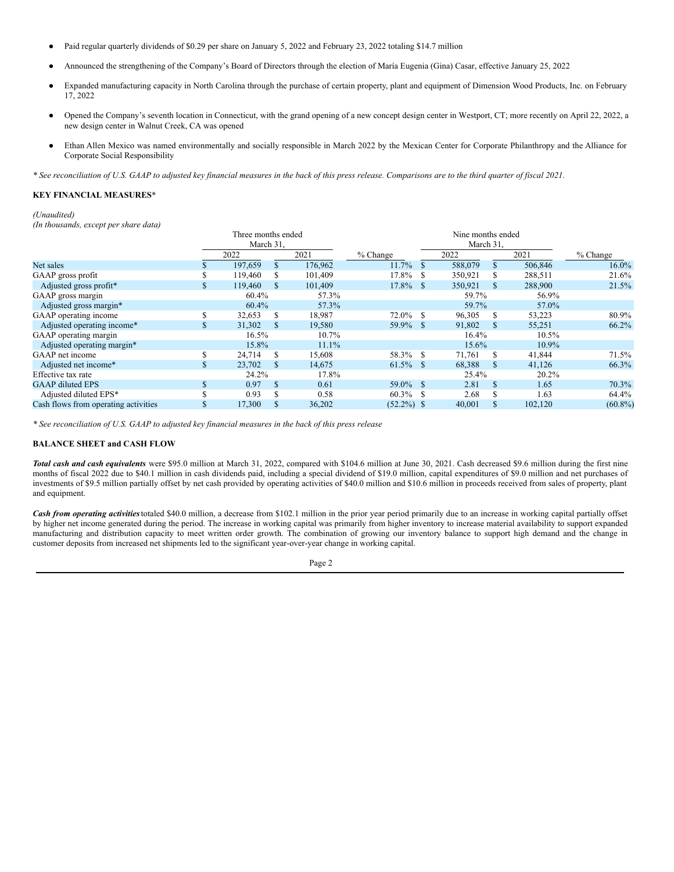- Paid regular quarterly dividends of \$0.29 per share on January 5, 2022 and February 23, 2022 totaling \$14.7 million
- Announced the strengthening of the Company's Board of Directors through the election of María Eugenia (Gina) Casar, effective January 25, 2022
- Expanded manufacturing capacity in North Carolina through the purchase of certain property, plant and equipment of Dimension Wood Products, Inc. on February 17, 2022
- Opened the Company's seventh location in Connecticut, with the grand opening of a new concept design center in Westport, CT; more recently on April 22, 2022, a new design center in Walnut Creek, CA was opened
- Ethan Allen Mexico was named environmentally and socially responsible in March 2022 by the Mexican Center for Corporate Philanthropy and the Alliance for Corporate Social Responsibility

\* See reconciliation of U.S. GAAP to adjusted key financial measures in the back of this press release. Comparisons are to the third quarter of fiscal 2021.

### **KEY FINANCIAL MEASURES\***

#### *(Unaudited)*

*(In thousands, except per share data)*

|                                      | Three months ended |               |          |               |           |         | Nine months ended |          |            |  |  |
|--------------------------------------|--------------------|---------------|----------|---------------|-----------|---------|-------------------|----------|------------|--|--|
|                                      | March 31,          |               |          |               | March 31, |         |                   |          |            |  |  |
|                                      | 2022               |               | 2021     | $%$ Change    |           | 2022    |                   | 2021     | % Change   |  |  |
| Net sales                            | 197,659            | \$            | 176,962  | $11.7\%$      | S         | 588,079 | \$                | 506,846  | $16.0\%$   |  |  |
| GAAP gross profit                    | 119.460            |               | 101,409  | 17.8%         | -S        | 350,921 |                   | 288,511  | 21.6%      |  |  |
| Adjusted gross profit*               | \$<br>119,460      |               | 101.409  | 17.8%         | -S        | 350.921 |                   | 288,900  | 21.5%      |  |  |
| GAAP gross margin                    | 60.4%              |               | 57.3%    |               |           | 59.7%   |                   | 56.9%    |            |  |  |
| Adjusted gross margin*               | 60.4%              |               | 57.3%    |               |           | 59.7%   |                   | 57.0%    |            |  |  |
| GAAP operating income                | 32,653             | S             | 18,987   | 72.0%         | -S        | 96,305  | S                 | 53,223   | 80.9%      |  |  |
| Adjusted operating income*           | 31,302             | <sup>\$</sup> | 19,580   | $59.9\%$ \$   |           | 91,802  |                   | 55,251   | 66.2%      |  |  |
| GAAP operating margin                | 16.5%              |               | $10.7\%$ |               |           | 16.4%   |                   | 10.5%    |            |  |  |
| Adjusted operating margin*           | 15.8%              |               | 11.1%    |               |           | 15.6%   |                   | $10.9\%$ |            |  |  |
| GAAP net income                      | 24,714             | S             | 15,608   | 58.3% \$      |           | 71,761  | \$.               | 41,844   | 71.5%      |  |  |
| Adjusted net income*                 | 23,702             | <sup>\$</sup> | 14,675   | $61.5\%$ \$   |           | 68,388  | S                 | 41,126   | 66.3%      |  |  |
| Effective tax rate                   | 24.2%              |               | 17.8%    |               |           | 25.4%   |                   | 20.2%    |            |  |  |
| <b>GAAP</b> diluted EPS              | \$<br>0.97         | <sup>\$</sup> | 0.61     | $59.0\%$ \$   |           | 2.81    | <b>S</b>          | 1.65     | 70.3%      |  |  |
| Adjusted diluted EPS*                | 0.93               | S             | 0.58     | $60.3\%$ \$   |           | 2.68    | \$                | 1.63     | 64.4%      |  |  |
| Cash flows from operating activities | 17,300             | \$            | 36,202   | $(52.2\%)$ \$ |           | 40,001  |                   | 102,120  | $(60.8\%)$ |  |  |

\* See reconciliation of U.S. GAAP to adjusted key financial measures in the back of this press release

#### **BALANCE SHEET and CASH FLOW**

*Total cash and cash equivalents* were \$95.0 million at March 31, 2022, compared with \$104.6 million at June 30, 2021. Cash decreased \$9.6 million during the first nine months of fiscal 2022 due to \$40.1 million in cash dividends paid, including a special dividend of \$19.0 million, capital expenditures of \$9.0 million and net purchases of investments of \$9.5 million partially offset by net cash provided by operating activities of \$40.0 million and \$10.6 million in proceeds received from sales of property, plant and equipment.

*Cash from operating activities*totaled \$40.0 million, a decrease from \$102.1 million in the prior year period primarily due to an increase in working capital partially offset by higher net income generated during the period. The increase in working capital was primarily from higher inventory to increase material availability to support expanded manufacturing and distribution capacity to meet written order growth. The combination of growing our inventory balance to support high demand and the change in customer deposits from increased net shipments led to the significant year-over-year change in working capital.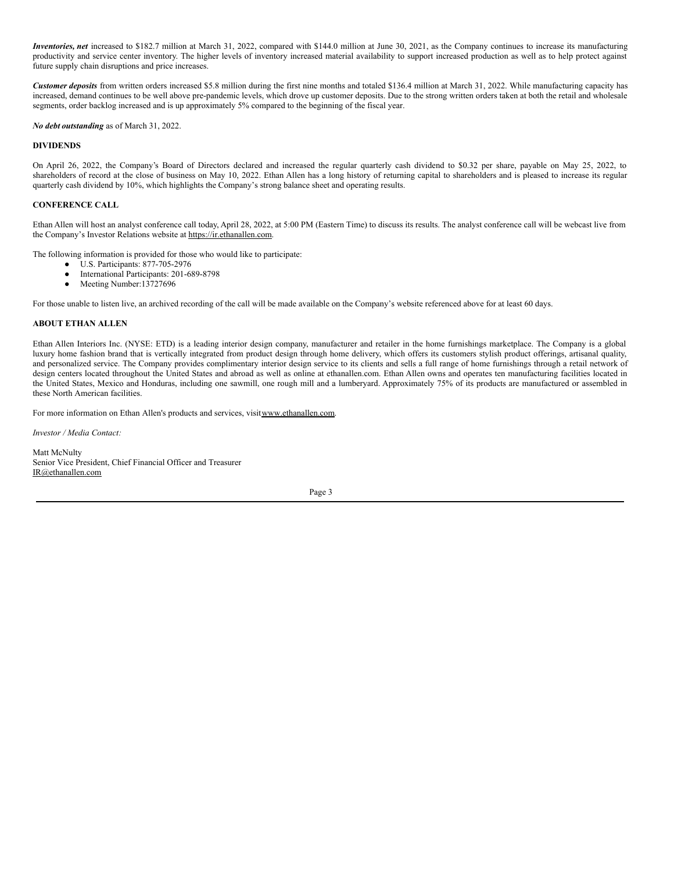*Inventories, net* increased to \$182.7 million at March 31, 2022, compared with \$144.0 million at June 30, 2021, as the Company continues to increase its manufacturing productivity and service center inventory. The higher levels of inventory increased material availability to support increased production as well as to help protect against future supply chain disruptions and price increases.

*Customer deposits* from written orders increased \$5.8 million during the first nine months and totaled \$136.4 million at March 31, 2022. While manufacturing capacity has increased, demand continues to be well above pre-pandemic levels, which drove up customer deposits. Due to the strong written orders taken at both the retail and wholesale segments, order backlog increased and is up approximately 5% compared to the beginning of the fiscal year.

*No debt outstanding* as of March 31, 2022.

### **DIVIDENDS**

On April 26, 2022, the Company's Board of Directors declared and increased the regular quarterly cash dividend to \$0.32 per share, payable on May 25, 2022, to shareholders of record at the close of business on May 10, 2022. Ethan Allen has a long history of returning capital to shareholders and is pleased to increase its regular quarterly cash dividend by 10%, which highlights the Company's strong balance sheet and operating results.

#### **CONFERENCE CALL**

Ethan Allen will host an analyst conference call today, April 28, 2022, at 5:00 PM (Eastern Time) to discuss its results. The analyst conference call will be webcast live from the Company's Investor Relations website at https://ir.ethanallen.com.

The following information is provided for those who would like to participate:

- U.S. Participants: 877-705-2976
- International Participants: 201-689-8798
- Meeting Number:13727696

For those unable to listen live, an archived recording of the call will be made available on the Company's website referenced above for at least 60 days.

#### **ABOUT ETHAN ALLEN**

Ethan Allen Interiors Inc. (NYSE: ETD) is a leading interior design company, manufacturer and retailer in the home furnishings marketplace. The Company is a global luxury home fashion brand that is vertically integrated from product design through home delivery, which offers its customers stylish product offerings, artisanal quality, and personalized service. The Company provides complimentary interior design service to its clients and sells a full range of home furnishings through a retail network of design centers located throughout the United States and abroad as well as online at ethanallen.com. Ethan Allen owns and operates ten manufacturing facilities located in the United States, Mexico and Honduras, including one sawmill, one rough mill and a lumberyard. Approximately 75% of its products are manufactured or assembled in these North American facilities.

For more information on Ethan Allen's products and services, visitwww.ethanallen.com.

*Investor / Media Contact:*

Matt McNulty Senior Vice President, Chief Financial Officer and Treasurer IR@ethanallen.com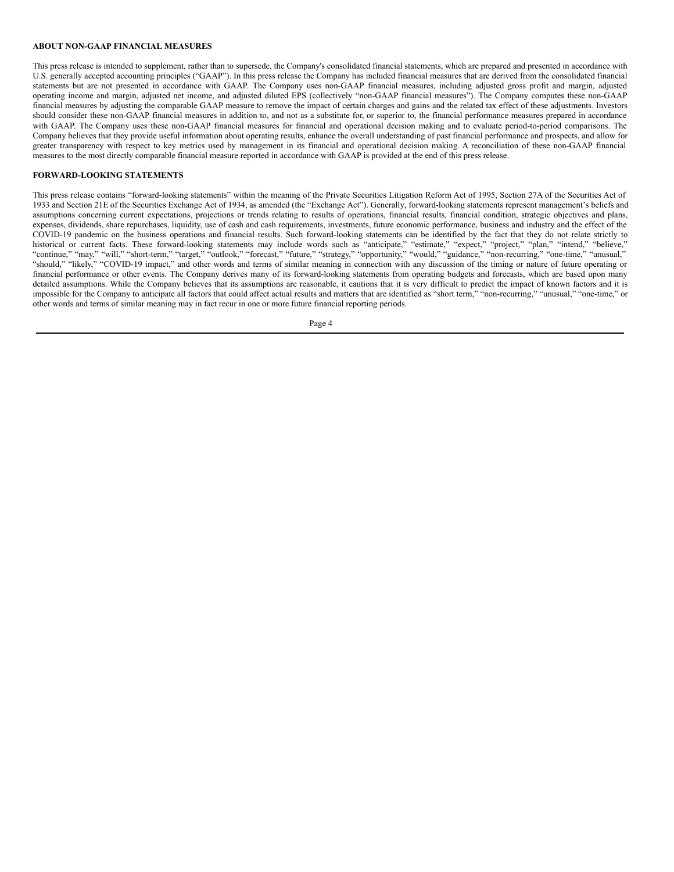#### **ABOUT NON-GAAP FINANCIAL MEASURES**

This press release is intended to supplement, rather than to supersede, the Company's consolidated financial statements, which are prepared and presented in accordance with U.S. generally accepted accounting principles ("GAAP"). In this press release the Company has included financial measures that are derived from the consolidated financial statements but are not presented in accordance with GAAP. The Company uses non-GAAP financial measures, including adjusted gross profit and margin, adjusted operating income and margin, adjusted net income, and adjusted diluted EPS (collectively "non-GAAP financial measures"). The Company computes these non-GAAP financial measures by adjusting the comparable GAAP measure to remove the impact of certain charges and gains and the related tax effect of these adjustments. Investors should consider these non-GAAP financial measures in addition to, and not as a substitute for, or superior to, the financial performance measures prepared in accordance with GAAP. The Company uses these non-GAAP financial measures for financial and operational decision making and to evaluate period-to-period comparisons. The Company believes that they provide useful information about operating results, enhance the overall understanding of past financial performance and prospects, and allow for greater transparency with respect to key metrics used by management in its financial and operational decision making. A reconciliation of these non-GAAP financial measures to the most directly comparable financial measure reported in accordance with GAAP is provided at the end of this press release.

## **FORWARD-LOOKING STATEMENTS**

This press release contains "forward-looking statements" within the meaning of the Private Securities Litigation Reform Act of 1995, Section 27A of the Securities Act of 1933 and Section 21E of the Securities Exchange Act of 1934, as amended (the "Exchange Act"). Generally, forward-looking statements represent management's beliefs and assumptions concerning current expectations, projections or trends relating to results of operations, financial results, financial condition, strategic objectives and plans, expenses, dividends, share repurchases, liquidity, use of cash and cash requirements, investments, future economic performance, business and industry and the effect of the COVID-19 pandemic on the business operations and financial results. Such forward-looking statements can be identified by the fact that they do not relate strictly to historical or current facts. These forward-looking statements may include words such as "anticipate," "estimate," "expect," "project," "plan," "intend," "believe," "continue," "may," "will," "short-term," "target," "outlook," "forecast," "future," "strategy," "opportunity," "would," "guidance," "non-recurring," "one-time," "unusual," "should," "likely," "COVID-19 impact," and other words and terms of similar meaning in connection with any discussion of the timing or nature of future operating or financial performance or other events. The Company derives many of its forward-looking statements from operating budgets and forecasts, which are based upon many detailed assumptions. While the Company believes that its assumptions are reasonable, it cautions that it is very difficult to predict the impact of known factors and it is impossible for the Company to anticipate all factors that could affect actual results and matters that are identified as "short term," "non-recurring," "unusual," "one-time," or other words and terms of similar meaning may in fact recur in one or more future financial reporting periods.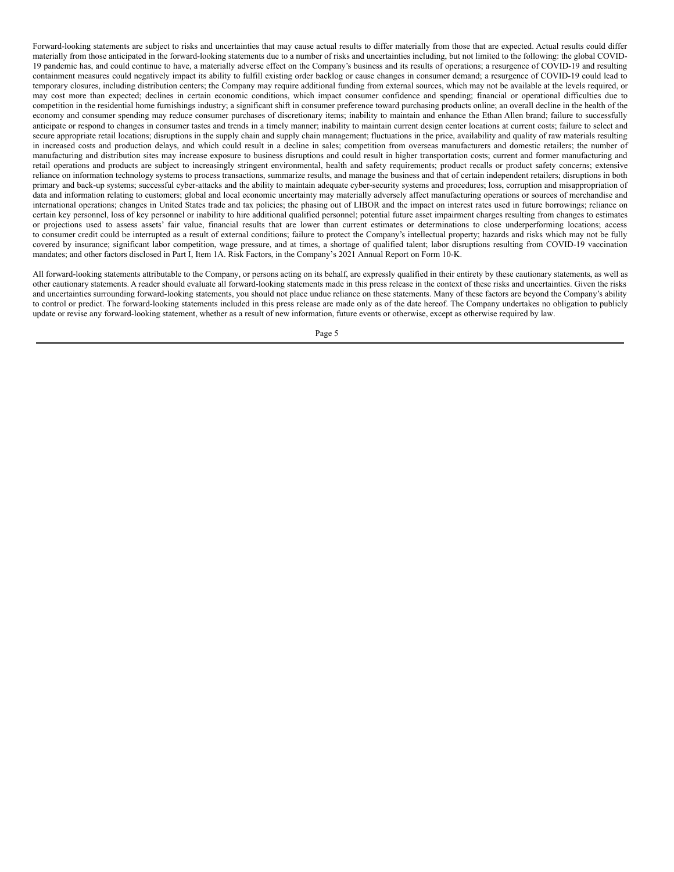<span id="page-6-0"></span>Forward-looking statements are subject to risks and uncertainties that may cause actual results to differ materially from those that are expected. Actual results could differ materially from those anticipated in the forward-looking statements due to a number of risks and uncertainties including, but not limited to the following: the global COVID-19 pandemic has, and could continue to have, a materially adverse effect on the Company's business and its results of operations; a resurgence of COVID-19 and resulting containment measures could negatively impact its ability to fulfill existing order backlog or cause changes in consumer demand; a resurgence of COVID-19 could lead to temporary closures, including distribution centers; the Company may require additional funding from external sources, which may not be available at the levels required, or may cost more than expected; declines in certain economic conditions, which impact consumer confidence and spending; financial or operational difficulties due to competition in the residential home furnishings industry; a significant shift in consumer preference toward purchasing products online; an overall decline in the health of the economy and consumer spending may reduce consumer purchases of discretionary items; inability to maintain and enhance the Ethan Allen brand; failure to successfully anticipate or respond to changes in consumer tastes and trends in a timely manner; inability to maintain current design center locations at current costs; failure to select and secure appropriate retail locations; disruptions in the supply chain and supply chain management; fluctuations in the price, availability and quality of raw materials resulting in increased costs and production delays, and which could result in a decline in sales; competition from overseas manufacturers and domestic retailers; the number of manufacturing and distribution sites may increase exposure to business disruptions and could result in higher transportation costs; current and former manufacturing and retail operations and products are subject to increasingly stringent environmental, health and safety requirements; product recalls or product safety concerns; extensive reliance on information technology systems to process transactions, summarize results, and manage the business and that of certain independent retailers; disruptions in both primary and back-up systems; successful cyber-attacks and the ability to maintain adequate cyber-security systems and procedures; loss, corruption and misappropriation of data and information relating to customers; global and local economic uncertainty may materially adversely affect manufacturing operations or sources of merchandise and international operations; changes in United States trade and tax policies; the phasing out of LIBOR and the impact on interest rates used in future borrowings; reliance on certain key personnel, loss of key personnel or inability to hire additional qualified personnel; potential future asset impairment charges resulting from changes to estimates or projections used to assess assets' fair value, financial results that are lower than current estimates or determinations to close underperforming locations; access to consumer credit could be interrupted as a result of external conditions; failure to protect the Company's intellectual property; hazards and risks which may not be fully covered by insurance; significant labor competition, wage pressure, and at times, a shortage of qualified talent; labor disruptions resulting from COVID-19 vaccination mandates; and other factors disclosed in Part I, Item 1A. Risk Factors, in the Company's 2021 Annual Report on Form 10-K.

All forward-looking statements attributable to the Company, or persons acting on its behalf, are expressly qualified in their entirety by these cautionary statements, as well as other cautionary statements. A reader should evaluate all forward-looking statements made in this press release in the context of these risks and uncertainties. Given the risks and uncertainties surrounding forward-looking statements, you should not place undue reliance on these statements. Many of these factors are beyond the Company's ability to control or predict. The forward-looking statements included in this press release are made only as of the date hereof. The Company undertakes no obligation to publicly update or revise any forward-looking statement, whether as a result of new information, future events or otherwise, except as otherwise required by law.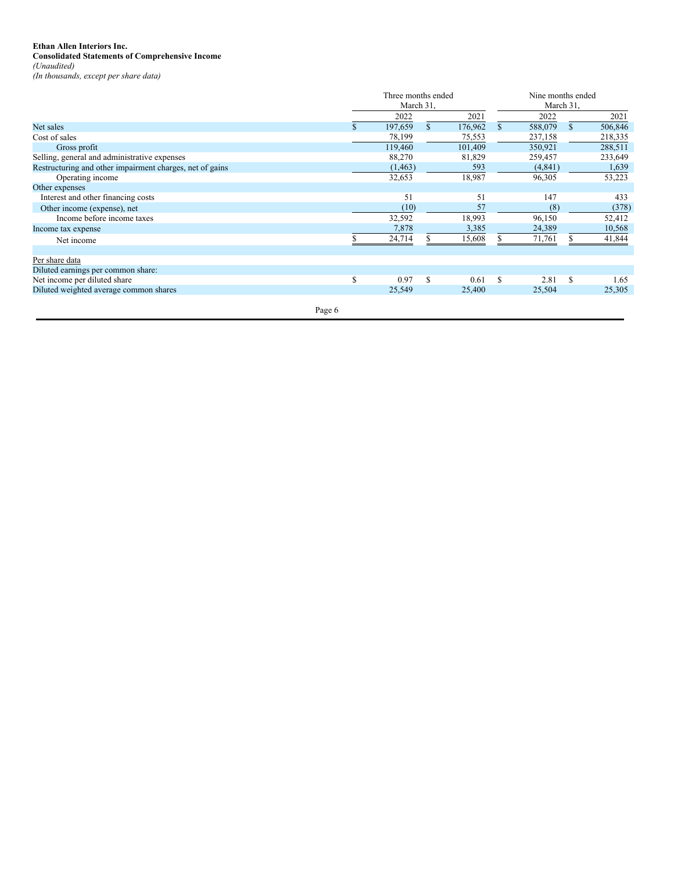#### **Ethan Allen Interiors Inc.**

**Consolidated Statements of Comprehensive Income**

*(Unaudited)*

*(In thousands, except per share data)*

|                                                          | Three months ended |           |          |              |         | Nine months ended |          |              |         |  |  |  |
|----------------------------------------------------------|--------------------|-----------|----------|--------------|---------|-------------------|----------|--------------|---------|--|--|--|
|                                                          |                    | March 31, |          |              |         |                   |          | March 31,    |         |  |  |  |
|                                                          |                    |           | 2022     |              | 2021    |                   | 2022     |              | 2021    |  |  |  |
| Net sales                                                |                    |           | 197,659  | $\mathbb{S}$ | 176,962 | \$                | 588,079  | $\mathbb{S}$ | 506,846 |  |  |  |
| Cost of sales                                            |                    |           | 78,199   |              | 75,553  |                   | 237,158  |              | 218,335 |  |  |  |
| Gross profit                                             |                    |           | 119,460  |              | 101,409 |                   | 350,921  |              | 288,511 |  |  |  |
| Selling, general and administrative expenses             |                    |           | 88,270   |              | 81,829  |                   | 259,457  |              | 233,649 |  |  |  |
| Restructuring and other impairment charges, net of gains |                    |           | (1, 463) |              | 593     |                   | (4, 841) |              | 1,639   |  |  |  |
| Operating income                                         |                    |           | 32,653   |              | 18,987  |                   | 96,305   |              | 53,223  |  |  |  |
| Other expenses                                           |                    |           |          |              |         |                   |          |              |         |  |  |  |
| Interest and other financing costs                       |                    |           | 51       |              | 51      |                   | 147      |              | 433     |  |  |  |
| Other income (expense), net                              |                    |           | (10)     |              | 57      |                   | (8)      |              | (378)   |  |  |  |
| Income before income taxes                               |                    |           | 32,592   |              | 18,993  |                   | 96,150   |              | 52,412  |  |  |  |
| Income tax expense                                       |                    |           | 7,878    |              | 3,385   |                   | 24,389   |              | 10,568  |  |  |  |
| Net income                                               |                    |           | 24,714   |              | 15,608  |                   | 71,761   |              | 41,844  |  |  |  |
|                                                          |                    |           |          |              |         |                   |          |              |         |  |  |  |
| Per share data                                           |                    |           |          |              |         |                   |          |              |         |  |  |  |
| Diluted earnings per common share:                       |                    |           |          |              |         |                   |          |              |         |  |  |  |
| Net income per diluted share                             |                    | \$        | 0.97     | \$.          | 0.61    | $\mathbb{S}$      | 2.81     | \$.          | 1.65    |  |  |  |
| Diluted weighted average common shares                   |                    |           | 25,549   |              | 25,400  |                   | 25,504   |              | 25,305  |  |  |  |
|                                                          |                    |           |          |              |         |                   |          |              |         |  |  |  |
|                                                          | Page 6             |           |          |              |         |                   |          |              |         |  |  |  |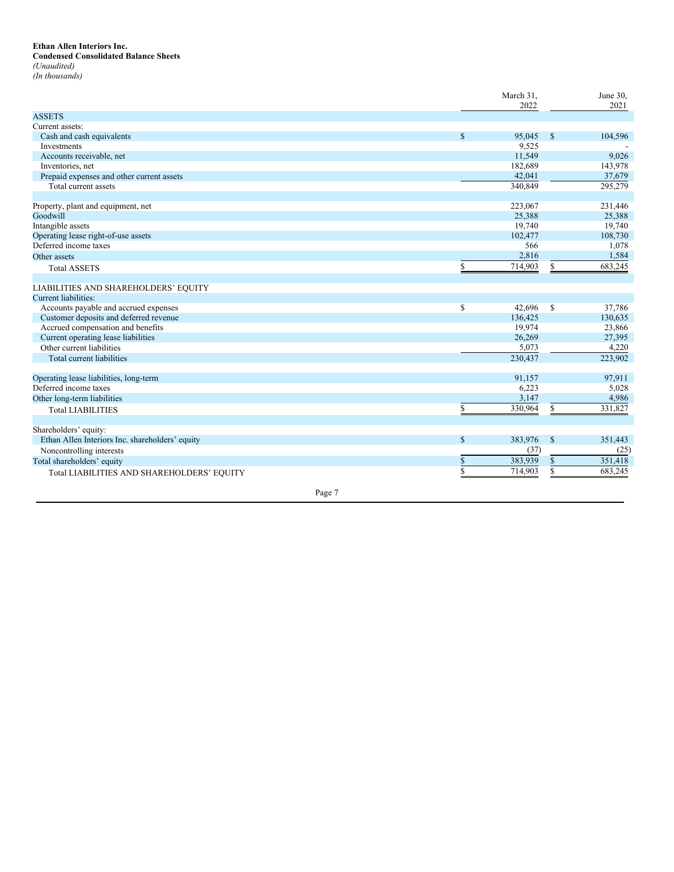#### Ethan Allen Interiors Inc.

**Condensed Consolidated B a l a n c e S h e e t s**

*(Unaudited) (In thousands)* 

|                                                 |              | March 31,<br>2022 |               | June 30,<br>2021 |
|-------------------------------------------------|--------------|-------------------|---------------|------------------|
| <b>ASSETS</b>                                   |              |                   |               |                  |
| Current assets:                                 |              |                   |               |                  |
| Cash and cash equivalents                       | $\mathbf S$  | 95,045            | $\mathcal{S}$ | 104,596          |
| Investments                                     |              | 9.525             |               |                  |
| Accounts receivable, net                        |              | 11,549            |               | 9,026            |
| Inventories, net                                |              | 182,689           |               | 143,978          |
| Prepaid expenses and other current assets       |              | 42,041            |               | 37,679           |
| Total current assets                            |              | 340,849           |               | 295,279          |
|                                                 |              | 223,067           |               | 231,446          |
| Property, plant and equipment, net<br>Goodwill  |              | 25,388            |               | 25,388           |
| Intangible assets                               |              | 19.740            |               | 19,740           |
| Operating lease right-of-use assets             |              | 102,477           |               |                  |
| Deferred income taxes                           |              | 566               |               | 108,730<br>1,078 |
| Other assets                                    |              | 2,816             |               | 1,584            |
|                                                 | \$           | 714,903           | \$            | 683,245          |
| <b>Total ASSETS</b>                             |              |                   |               |                  |
| LIABILITIES AND SHAREHOLDERS' EQUITY            |              |                   |               |                  |
| <b>Current liabilities:</b>                     |              |                   |               |                  |
| Accounts payable and accrued expenses           | $\mathbb{S}$ | 42,696            | $\mathbb{S}$  | 37,786           |
| Customer deposits and deferred revenue          |              | 136,425           |               | 130,635          |
| Accrued compensation and benefits               |              | 19,974            |               | 23,866           |
| Current operating lease liabilities             |              | 26,269            |               | 27,395           |
| Other current liabilities                       |              | 5,073             |               | 4,220            |
| Total current liabilities                       |              | 230,437           |               | 223,902          |
| Operating lease liabilities, long-term          |              | 91,157            |               | 97,911           |
| Deferred income taxes                           |              | 6,223             |               | 5,028            |
| Other long-term liabilities                     |              | 3,147             |               | 4,986            |
| <b>Total LIABILITIES</b>                        | S            | 330,964           | <sup>\$</sup> | 331,827          |
|                                                 |              |                   |               |                  |
| Shareholders' equity:                           |              |                   |               |                  |
| Ethan Allen Interiors Inc. shareholders' equity | $\mathbf S$  | 383,976           | $\mathcal{S}$ | 351,443          |
| Noncontrolling interests                        |              | (37)              |               | (25)             |
| Total shareholders' equity                      | $\mathbb{S}$ | 383.939           | $\mathbb{S}$  | 351,418          |
| Total LIABILITIES AND SHAREHOLDERS' EQUITY      | \$           | 714,903           | \$            | 683,245          |
|                                                 |              |                   |               |                  |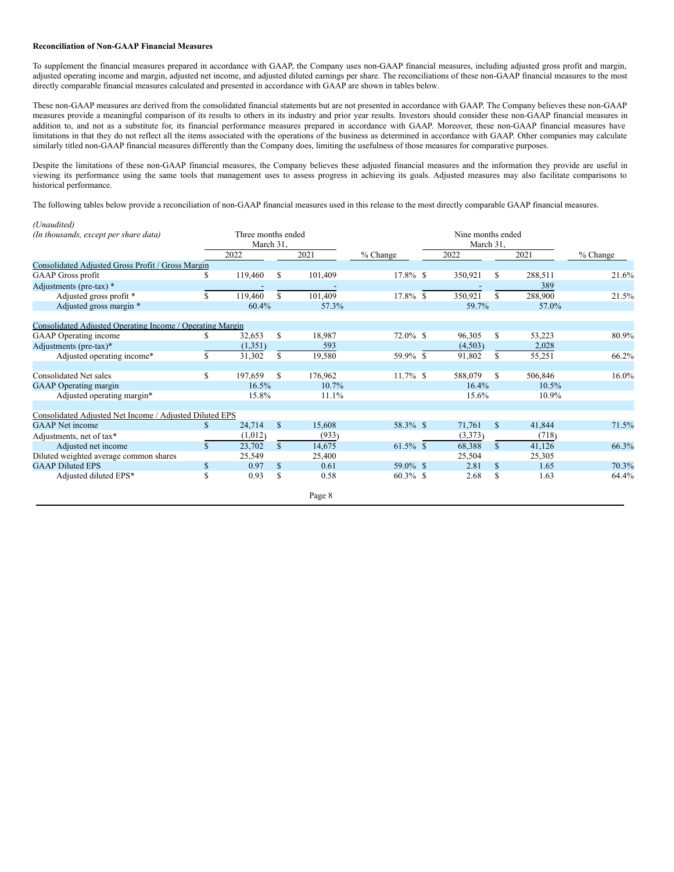#### **Reconciliation of Non-GAAP Financial Measures**

To supplement the financial measures prepared in accordance with GAAP, the Company uses non-GAAP financial measures, including adjusted gross profit and margin, adjusted operating income and margin, adjusted net income, and adjusted diluted earnings per share. The reconciliations of these non-GAAP financial measures to the most directly comparable financial measures calculated and presented in accordance with GAAP are shown in tables below.

These non-GAAP measures are derived from the consolidated financial statements but are not presented in accordance with GAAP. The Company believes these non-GAAP measures provide a meaningful comparison of its results to others in its industry and prior year results. Investors should consider these non-GAAP financial measures in addition to, and not as a substitute for, its financial performance measures prepared in accordance with GAAP. Moreover, these non-GAAP financial measures have limitations in that they do not reflect all the items associated with the operations of the business as determined in accordance with GAAP. Other companies may calculate similarly titled non-GAAP financial measures differently than the Company does, limiting the usefulness of those measures for comparative purposes.

Despite the limitations of these non-GAAP financial measures, the Company believes these adjusted financial measures and the information they provide are useful in viewing its performance using the same tools that management uses to assess progress in achieving its goals. Adjusted measures may also facilitate comparisons to historical performance.

The following tables below provide a reconciliation of non-GAAP financial measures used in this release to the most directly comparable GAAP financial measures.

| (Unaudited)                                               |              |                                 |             |         |             |                                |    |         |          |
|-----------------------------------------------------------|--------------|---------------------------------|-------------|---------|-------------|--------------------------------|----|---------|----------|
| (In thousands, except per share data)                     |              | Three months ended<br>March 31, |             |         |             | Nine months ended<br>March 31, |    |         |          |
|                                                           |              | 2022                            |             | 2021    | % Change    | 2022                           |    | 2021    | % Change |
| Consolidated Adjusted Gross Profit / Gross Margin         |              |                                 |             |         |             |                                |    |         |          |
| <b>GAAP</b> Gross profit                                  |              | 119,460                         | S           | 101,409 | $17.8\%$ \$ | 350,921                        | S  | 288,511 | 21.6%    |
| Adjustments (pre-tax) *                                   |              |                                 |             |         |             |                                |    | 389     |          |
| Adjusted gross profit *                                   | S            | 119,460                         | S           | 101,409 | $17.8\%$ \$ | 350,921                        | S  | 288,900 | 21.5%    |
| Adjusted gross margin *                                   |              | 60.4%                           |             | 57.3%   |             | 59.7%                          |    | 57.0%   |          |
| Consolidated Adjusted Operating Income / Operating Margin |              |                                 |             |         |             |                                |    |         |          |
| GAAP Operating income                                     |              | 32,653                          | S           | 18,987  | 72.0% \$    | 96,305                         | S  | 53,223  | 80.9%    |
| Adjustments (pre-tax)*                                    |              | (1,351)                         |             | 593     |             | (4,503)                        |    | 2,028   |          |
| Adjusted operating income*                                | S            | 31,302                          | S           | 19,580  | 59.9% \$    | 91,802                         | S  | 55,251  | 66.2%    |
|                                                           |              |                                 |             |         |             |                                |    |         |          |
| Consolidated Net sales                                    | S            | 197,659                         | S           | 176,962 | $11.7\%$ \$ | 588,079                        | S  | 506,846 | 16.0%    |
| <b>GAAP</b> Operating margin                              |              | 16.5%                           |             | 10.7%   |             | 16.4%                          |    | 10.5%   |          |
| Adjusted operating margin*                                |              | 15.8%                           |             | 11.1%   |             | 15.6%                          |    | 10.9%   |          |
| Consolidated Adjusted Net Income / Adjusted Diluted EPS   |              |                                 |             |         |             |                                |    |         |          |
| <b>GAAP</b> Net income                                    | \$           | 24,714                          | $\mathbf S$ | 15,608  | 58.3% \$    | 71,761                         | \$ | 41.844  | 71.5%    |
| Adjustments, net of tax*                                  |              | (1,012)                         |             | (933)   |             | (3,373)                        |    | (718)   |          |
| Adjusted net income                                       | $\mathbb{S}$ | 23,702                          | S           | 14.675  | $61.5\%$ \$ | 68,388                         | S  | 41,126  | 66.3%    |
| Diluted weighted average common shares                    |              | 25,549                          |             | 25,400  |             | 25,504                         |    | 25,305  |          |
| <b>GAAP Diluted EPS</b>                                   | \$           | 0.97                            | $\mathbf S$ | 0.61    | $59.0\%$ \$ | 2.81                           | \$ | 1.65    | 70.3%    |
| Adjusted diluted EPS*                                     | S            | 0.93                            | S           | 0.58    | $60.3\%$ \$ | 2.68                           | S  | 1.63    | 64.4%    |
|                                                           |              |                                 |             | Page 8  |             |                                |    |         |          |